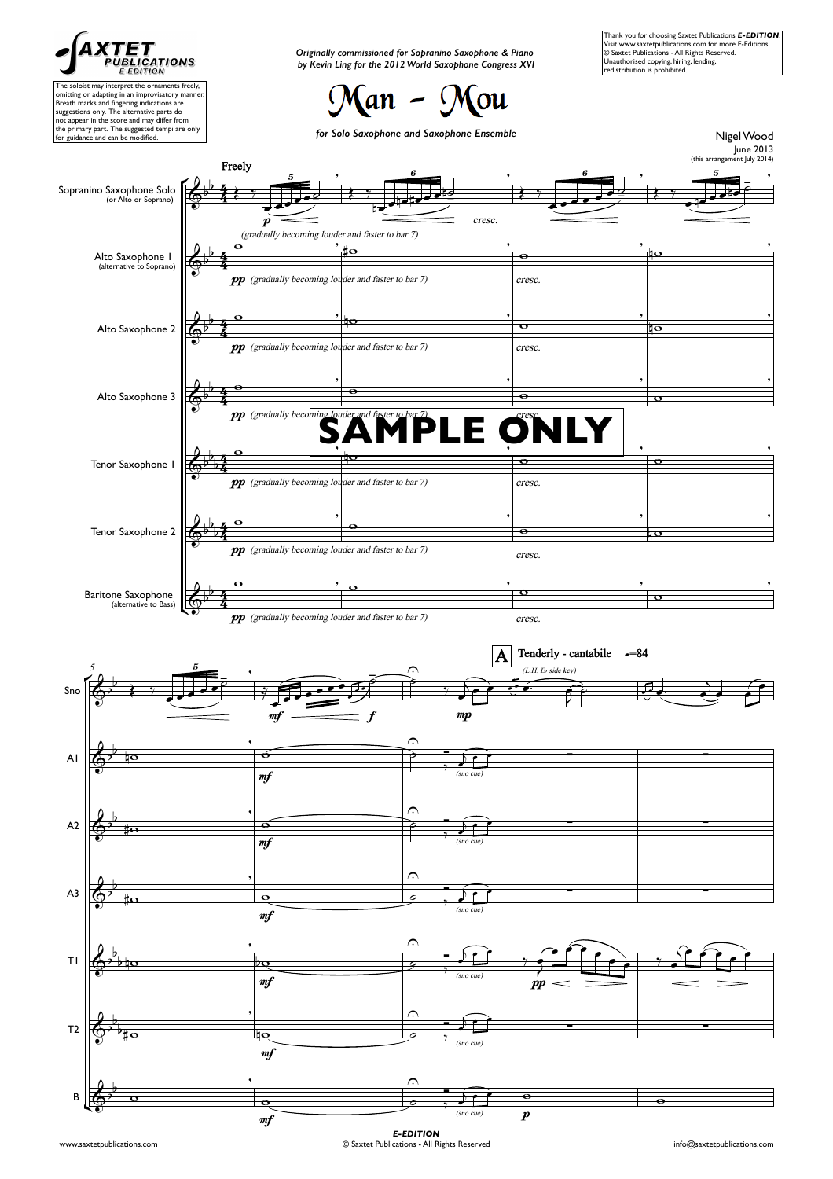

The soloist may interpret the ornaments freely, omitting or adapting in an improvisatory manner. Breath marks and fingering indications are suggestions only. The alternative parts do not appear in the score and may differ from the primary part. The suggested tempi are only for guidance and can be modified.

*Originally commissioned for Sopranino Saxophone & Piano by Kevin Ling for the 2012 World Saxophone Congress XVI*

(an – Mou

Thank you for choosing Saxtet Publications *E-EDITION*. Visit www.saxtetpublications.com for more E-Editions. © Saxtet Publications - All Rights Reserved. Unauthorised copying, hiring, lending, redistribution is prohibited.



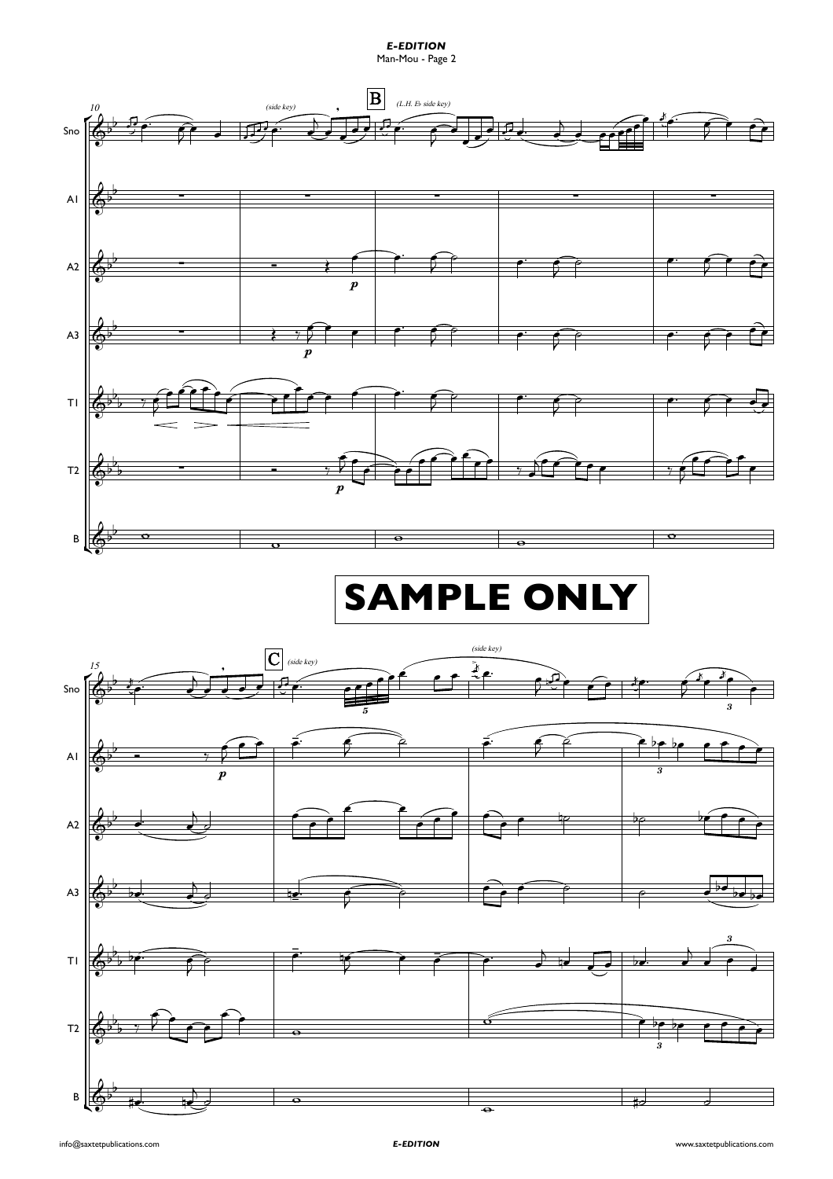*E-EDITION* Man-Mou - Page 2

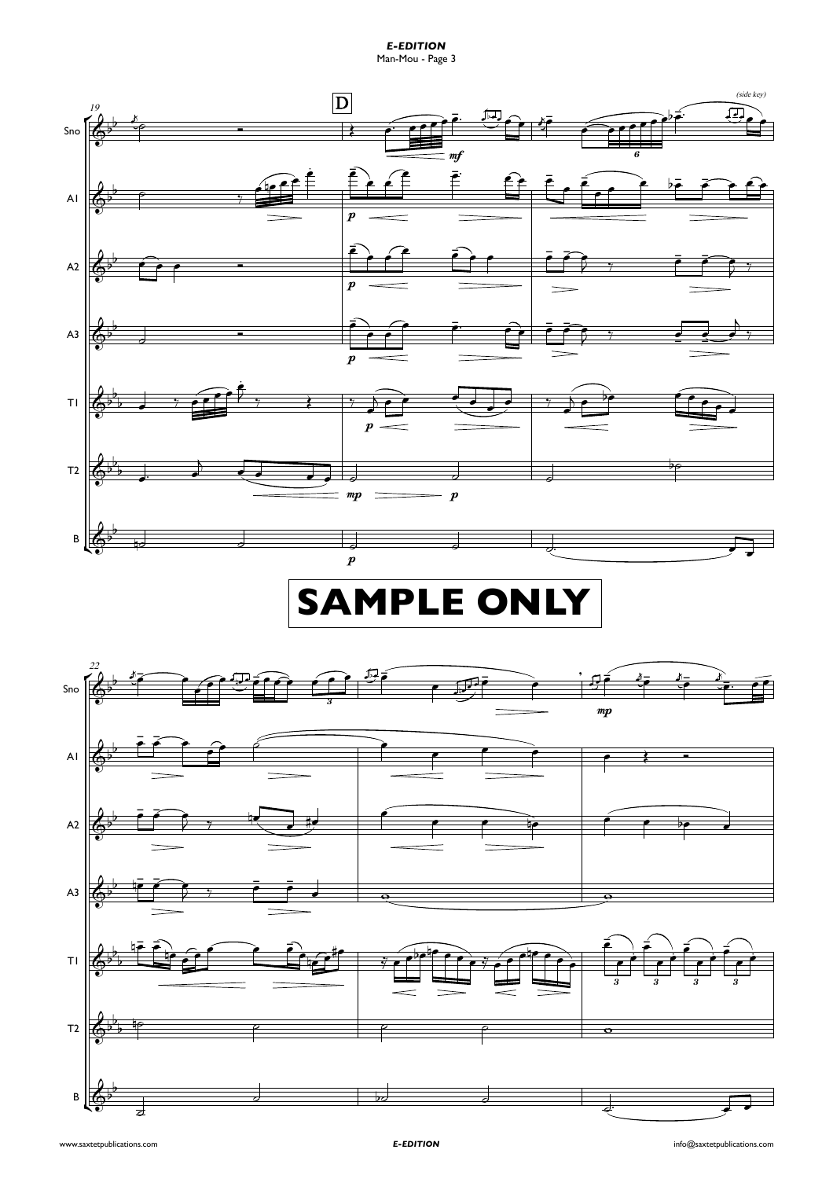*E-EDITION* Man-Mou - Page 3

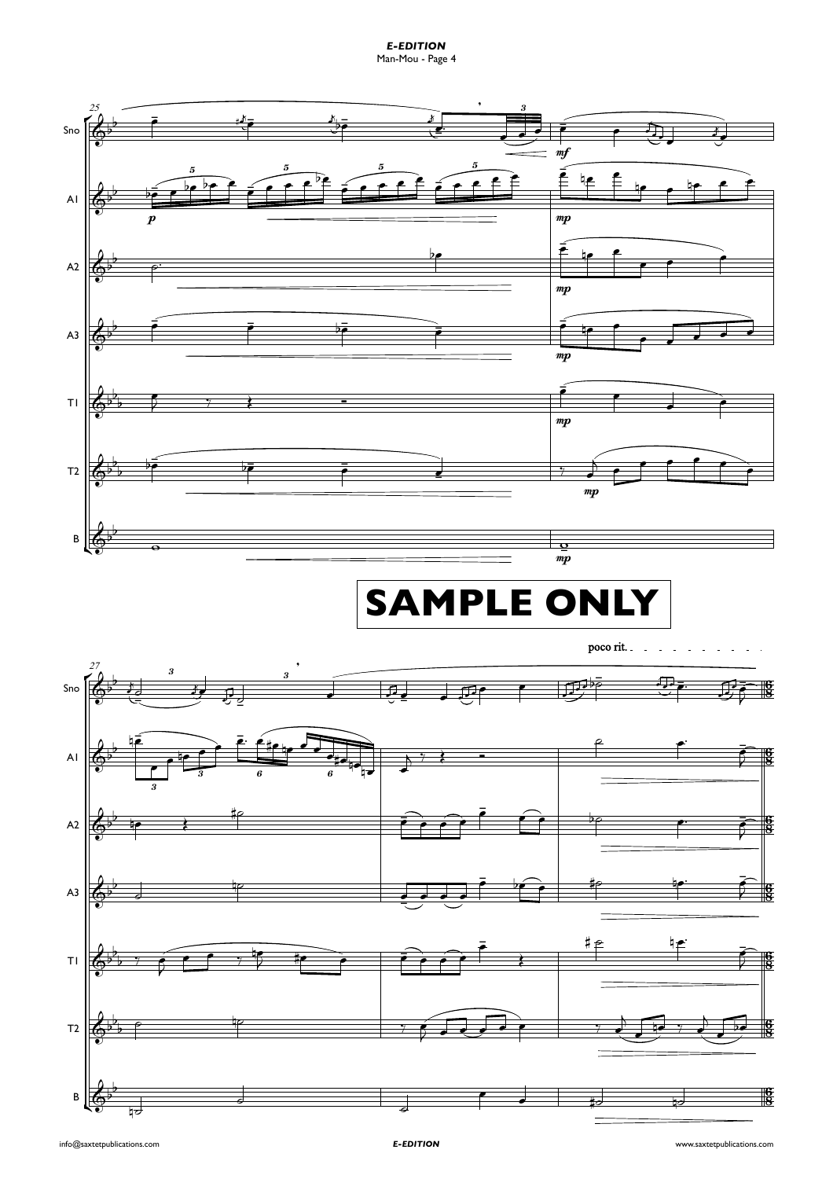*E-EDITION* Man-Mou - Page 4